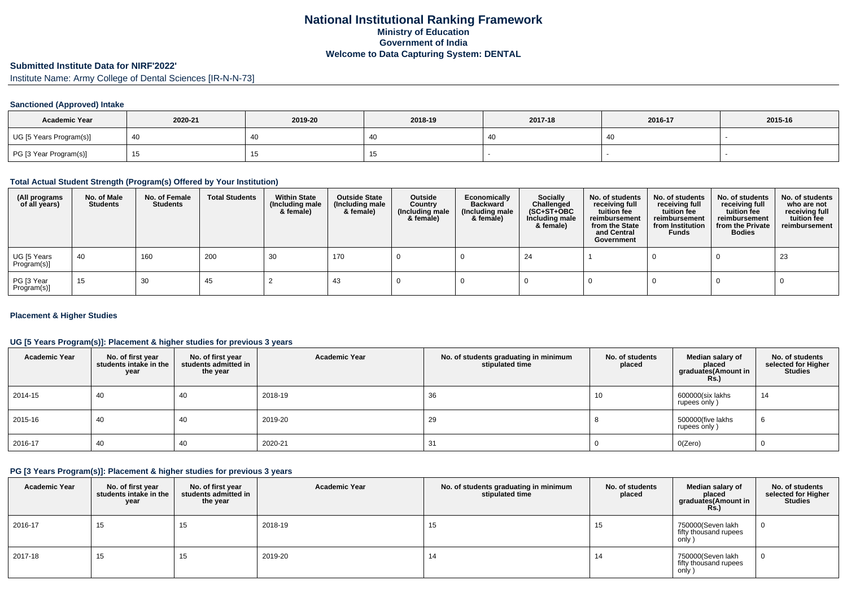# **National Institutional Ranking FrameworkMinistry of Education Government of IndiaWelcome to Data Capturing System: DENTAL**

# **Submitted Institute Data for NIRF'2022'**

Institute Name: Army College of Dental Sciences [IR-N-N-73]

## **Sanctioned (Approved) Intake**

| <b>Academic Year</b>    | 2020-21 | 2019-20 | 2018-19 | 2017-18 | 2016-17 | 2015-16 |
|-------------------------|---------|---------|---------|---------|---------|---------|
| UG [5 Years Program(s)] |         | 40      |         |         | 40      |         |
| PG [3 Year Program(s)]  |         |         |         |         |         |         |

## **Total Actual Student Strength (Program(s) Offered by Your Institution)**

| (All programs<br>of all years) | No. of Male<br><b>Students</b> | No. of Female<br>Students | <b>Total Students</b> | <b>Within State</b><br>(Including male<br>& female) | <b>Outside State</b><br>(Including male<br>& female) | Outside<br>Country<br>(Including male<br>& female) | Economically<br>Backward<br>(Including male<br>& female) | <b>Socially</b><br>Challenged<br>$(SC+ST+OBC)$<br>Including male<br>& female) | No. of students<br>receiving full<br>tuition fee<br>reimbursement<br>from the State<br>and Central<br>Government | No. of students<br>receiving full<br>tuition fee<br>reimbursement<br>from Institution<br><b>Funds</b> | No. of students<br>receiving full<br>tuition fee<br>reimbursement<br>from the Private<br><b>Bodies</b> | No. of students<br>who are not<br>receiving full<br>tuition fee<br>reimbursement |
|--------------------------------|--------------------------------|---------------------------|-----------------------|-----------------------------------------------------|------------------------------------------------------|----------------------------------------------------|----------------------------------------------------------|-------------------------------------------------------------------------------|------------------------------------------------------------------------------------------------------------------|-------------------------------------------------------------------------------------------------------|--------------------------------------------------------------------------------------------------------|----------------------------------------------------------------------------------|
| UG [5 Years<br>Program(s)]     | -40                            | 160                       | 200                   | 30                                                  | 170                                                  |                                                    |                                                          | -24                                                                           |                                                                                                                  |                                                                                                       |                                                                                                        | 23                                                                               |
| PG [3 Year<br>Program(s)]      | 15                             | 30                        | 45                    |                                                     | 43                                                   |                                                    |                                                          |                                                                               |                                                                                                                  |                                                                                                       |                                                                                                        |                                                                                  |

## **Placement & Higher Studies**

## **UG [5 Years Program(s)]: Placement & higher studies for previous 3 years**

| <b>Academic Year</b> | No. of first year<br>students intake in the<br>year | No. of first vear<br>students admitted in<br>the year | <b>Academic Year</b> | No. of students graduating in minimum<br>stipulated time | No. of students<br>placed | Median salary of<br>placed<br>graduates(Amount in<br>Rs. | No. of students<br>selected for Higher<br><b>Studies</b> |
|----------------------|-----------------------------------------------------|-------------------------------------------------------|----------------------|----------------------------------------------------------|---------------------------|----------------------------------------------------------|----------------------------------------------------------|
| 2014-15              | 40                                                  | 40                                                    | 2018-19              | 36                                                       | 10                        | 600000(six lakhs<br>rupees only)                         | 14                                                       |
| 2015-16              | 40                                                  | 40                                                    | 2019-20              | 29                                                       |                           | 500000(five lakhs<br>rupees only)                        | 6                                                        |
| 2016-17              | -40                                                 | 40                                                    | 2020-21              | 31                                                       |                           | O(Zero)                                                  | υ                                                        |

## **PG [3 Years Program(s)]: Placement & higher studies for previous 3 years**

| <b>Academic Year</b> | No. of first year<br>students intake in the<br>year | No. of first year<br>students admitted in<br>the year | <b>Academic Year</b> | No. of students graduating in minimum<br>stipulated time | No. of students<br>placed | Median salary of<br>placed<br>graduates(Amount in<br><b>Rs.)</b> | No. of students<br>selected for Higher<br><b>Studies</b> |
|----------------------|-----------------------------------------------------|-------------------------------------------------------|----------------------|----------------------------------------------------------|---------------------------|------------------------------------------------------------------|----------------------------------------------------------|
| 2016-17              | 15                                                  | 15                                                    | 2018-19              | 15                                                       | 15                        | 750000(Seven lakh<br>fifty thousand rupees<br>only               |                                                          |
| 2017-18              | 15                                                  | 15                                                    | 2019-20              | 14                                                       | 14                        | 750000(Seven lakh<br>fifty thousand rupees<br>only )             |                                                          |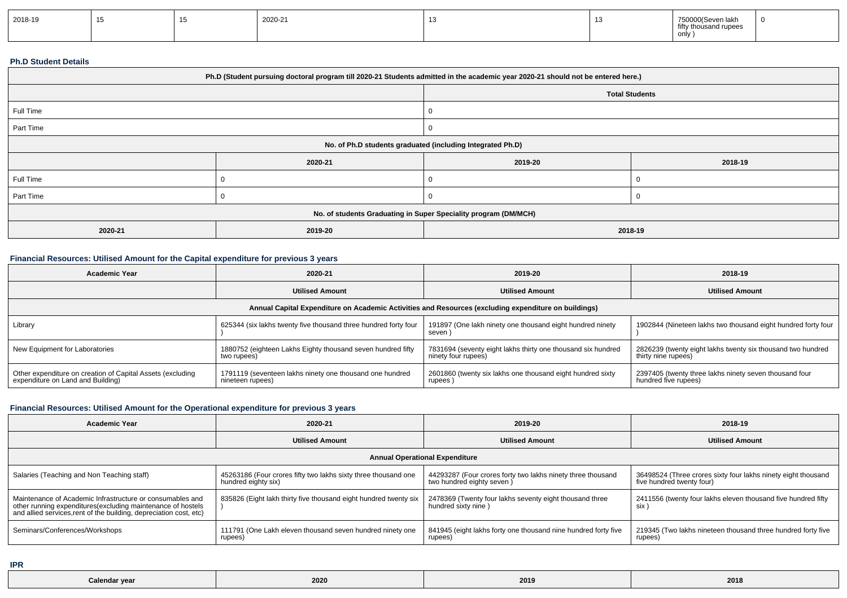| 2018-19 |  |  | 2020-21 |  |  | .<br>75000<br>750000(Seven lakh<br>fifty<br>y thousand rupees<br>only |  |
|---------|--|--|---------|--|--|-----------------------------------------------------------------------|--|
|---------|--|--|---------|--|--|-----------------------------------------------------------------------|--|

#### **Ph.D Student Details**

| Ph.D (Student pursuing doctoral program till 2020-21 Students admitted in the academic year 2020-21 should not be entered here.) |         |         |                       |  |
|----------------------------------------------------------------------------------------------------------------------------------|---------|---------|-----------------------|--|
|                                                                                                                                  |         |         | <b>Total Students</b> |  |
| Full Time                                                                                                                        |         |         |                       |  |
| Part Time                                                                                                                        |         | 0       |                       |  |
| No. of Ph.D students graduated (including Integrated Ph.D)                                                                       |         |         |                       |  |
|                                                                                                                                  | 2020-21 | 2019-20 | 2018-19               |  |
| Full Time                                                                                                                        |         | 0       |                       |  |
| Part Time                                                                                                                        |         | v       |                       |  |
| No. of students Graduating in Super Speciality program (DM/MCH)                                                                  |         |         |                       |  |
| 2020-21                                                                                                                          | 2019-20 | 2018-19 |                       |  |

# **Financial Resources: Utilised Amount for the Capital expenditure for previous 3 years**

| <b>Academic Year</b>                                                                                 | 2020-21                                                                      | 2019-20                                                                             | 2018-19                                                                            |  |  |  |  |
|------------------------------------------------------------------------------------------------------|------------------------------------------------------------------------------|-------------------------------------------------------------------------------------|------------------------------------------------------------------------------------|--|--|--|--|
|                                                                                                      | <b>Utilised Amount</b>                                                       | <b>Utilised Amount</b>                                                              | <b>Utilised Amount</b>                                                             |  |  |  |  |
| Annual Capital Expenditure on Academic Activities and Resources (excluding expenditure on buildings) |                                                                              |                                                                                     |                                                                                    |  |  |  |  |
| Library                                                                                              | 625344 (six lakhs twenty five thousand three hundred forty four              | 191897 (One lakh ninety one thousand eight hundred ninety<br>seven                  | 1902844 (Nineteen lakhs two thousand eight hundred forty four                      |  |  |  |  |
| New Equipment for Laboratories                                                                       | 1880752 (eighteen Lakhs Eighty thousand seven hundred fifty<br>two rupees)   | 7831694 (seventy eight lakhs thirty one thousand six hundred<br>ninety four rupees) | 2826239 (twenty eight lakhs twenty six thousand two hundred<br>thirty nine rupees) |  |  |  |  |
| Other expenditure on creation of Capital Assets (excluding<br>expenditure on Land and Building)      | 1791119 (seventeen lakhs ninety one thousand one hundred<br>nineteen rupees) | 2601860 (twenty six lakhs one thousand eight hundred sixty<br>rupees                | 2397405 (twenty three lakhs ninety seven thousand four<br>hundred five rupees)     |  |  |  |  |

## **Financial Resources: Utilised Amount for the Operational expenditure for previous 3 years**

| <b>Academic Year</b>                                                                                                              | 2020-21                                                          | 2019-20                                                        | 2018-19                                                       |  |  |  |  |
|-----------------------------------------------------------------------------------------------------------------------------------|------------------------------------------------------------------|----------------------------------------------------------------|---------------------------------------------------------------|--|--|--|--|
|                                                                                                                                   | <b>Utilised Amount</b>                                           | <b>Utilised Amount</b>                                         | <b>Utilised Amount</b>                                        |  |  |  |  |
| <b>Annual Operational Expenditure</b>                                                                                             |                                                                  |                                                                |                                                               |  |  |  |  |
| Salaries (Teaching and Non Teaching staff)                                                                                        | 45263186 (Four crores fifty two lakhs sixty three thousand one   | 44293287 (Four crores forty two lakhs ninety three thousand    | 36498524 (Three crores sixty four lakhs ninety eight thousand |  |  |  |  |
|                                                                                                                                   | hundred eighty six)                                              | two hundred eighty seven)                                      | five hundred twenty four)                                     |  |  |  |  |
| Maintenance of Academic Infrastructure or consumables and                                                                         | 835826 (Eight lakh thirty five thousand eight hundred twenty six | 2478369 (Twenty four lakhs seventy eight thousand three        | 2411556 (twenty four lakhs eleven thousand five hundred fifty |  |  |  |  |
| other running expenditures(excluding maintenance of hostels<br>and allied services, rent of the building, depreciation cost, etc) |                                                                  | hundred sixty nine)                                            | six \                                                         |  |  |  |  |
| Seminars/Conferences/Workshops                                                                                                    | 111791 (One Lakh eleven thousand seven hundred ninety one        | 841945 (eight lakhs forty one thousand nine hundred forty five | 219345 (Two lakhs nineteen thousand three hundred forty five  |  |  |  |  |
|                                                                                                                                   | rupees)                                                          | rupees)                                                        | rupees)                                                       |  |  |  |  |

**IPR**

| Calendar year | 2020 | 2019 | 2018 |
|---------------|------|------|------|
|               |      |      |      |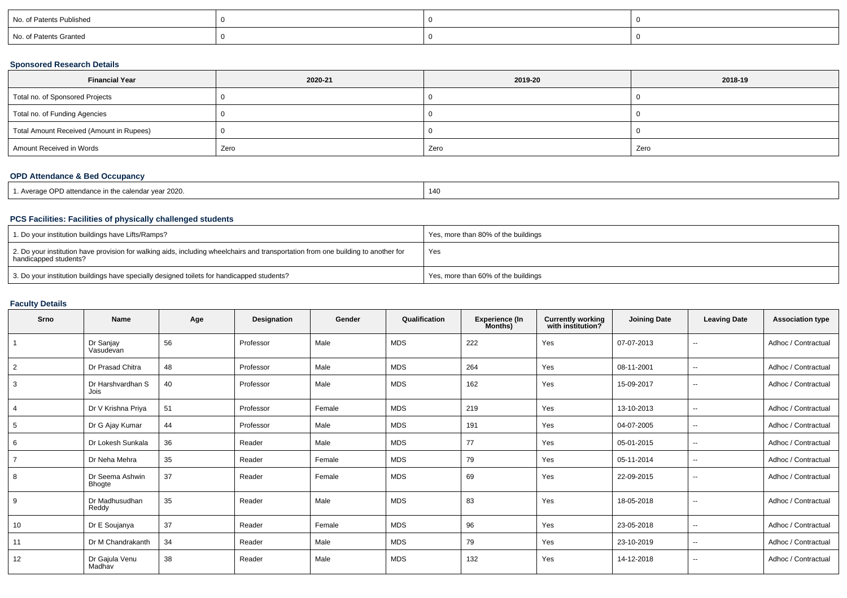| No. of Patents Published |  |  |
|--------------------------|--|--|
| No. of Patents Granted   |  |  |

## **Sponsored Research Details**

| <b>Financial Year</b>                    | 2020-21 | 2019-20 | 2018-19 |
|------------------------------------------|---------|---------|---------|
| Total no. of Sponsored Projects          |         |         |         |
| Total no. of Funding Agencies            |         |         |         |
| Total Amount Received (Amount in Rupees) |         |         |         |
| Amount Received in Words                 | Zero    | Zero    | Zero    |

## **OPD Attendance & Bed Occupancy**

| Average OPD attendance in the calendar year 2020. | 14( |
|---------------------------------------------------|-----|
|---------------------------------------------------|-----|

## **PCS Facilities: Facilities of physically challenged students**

| 1. Do your institution buildings have Lifts/Ramps?                                                                                                         | Yes, more than 80% of the buildings |
|------------------------------------------------------------------------------------------------------------------------------------------------------------|-------------------------------------|
| 2. Do your institution have provision for walking aids, including wheelchairs and transportation from one building to another for<br>handicapped students? | Yes                                 |
| 3. Do your institution buildings have specially designed toilets for handicapped students?                                                                 | Yes, more than 60% of the buildings |

## **Faculty Details**

| Srno | <b>Name</b>                      | Age | Designation | Gender | Qualification | <b>Experience (In</b><br>Months) | <b>Currently working</b><br>with institution? | <b>Joining Date</b> | <b>Leaving Date</b>      | <b>Association type</b> |
|------|----------------------------------|-----|-------------|--------|---------------|----------------------------------|-----------------------------------------------|---------------------|--------------------------|-------------------------|
|      | Dr Sanjay<br>Vasudevan           | 56  | Professor   | Male   | <b>MDS</b>    | 222                              | Yes                                           | 07-07-2013          | $- -$                    | Adhoc / Contractual     |
| 2    | Dr Prasad Chitra                 | 48  | Professor   | Male   | <b>MDS</b>    | 264                              | Yes                                           | 08-11-2001          | $- -$                    | Adhoc / Contractual     |
| 3    | Dr Harshvardhan S<br>Jois        | 40  | Professor   | Male   | <b>MDS</b>    | 162                              | Yes                                           | 15-09-2017          | $- -$                    | Adhoc / Contractual     |
|      | Dr V Krishna Priya               | 51  | Professor   | Female | <b>MDS</b>    | 219                              | Yes                                           | 13-10-2013          | $\sim$                   | Adhoc / Contractual     |
| 5    | Dr G Ajay Kumar                  | 44  | Professor   | Male   | <b>MDS</b>    | 191                              | Yes                                           | 04-07-2005          | $-$                      | Adhoc / Contractual     |
| 6    | Dr Lokesh Sunkala                | 36  | Reader      | Male   | <b>MDS</b>    | 77                               | Yes                                           | 05-01-2015          | −−                       | Adhoc / Contractual     |
|      | Dr Neha Mehra                    | 35  | Reader      | Female | <b>MDS</b>    | 79                               | Yes                                           | 05-11-2014          | ۰.                       | Adhoc / Contractual     |
| 8    | Dr Seema Ashwin<br><b>Bhogte</b> | 37  | Reader      | Female | <b>MDS</b>    | 69                               | Yes                                           | 22-09-2015          | $-$                      | Adhoc / Contractual     |
| 9    | Dr Madhusudhan<br>Reddy          | 35  | Reader      | Male   | <b>MDS</b>    | 83                               | Yes                                           | 18-05-2018          | $\overline{a}$           | Adhoc / Contractual     |
| 10   | Dr E Soujanya                    | 37  | Reader      | Female | <b>MDS</b>    | 96                               | Yes                                           | 23-05-2018          | ۰.                       | Adhoc / Contractual     |
| 11   | Dr M Chandrakanth                | 34  | Reader      | Male   | <b>MDS</b>    | 79                               | Yes                                           | 23-10-2019          | $- -$                    | Adhoc / Contractual     |
| 12   | Dr Gajula Venu<br>Madhav         | 38  | Reader      | Male   | <b>MDS</b>    | 132                              | Yes                                           | 14-12-2018          | $\overline{\phantom{a}}$ | Adhoc / Contractual     |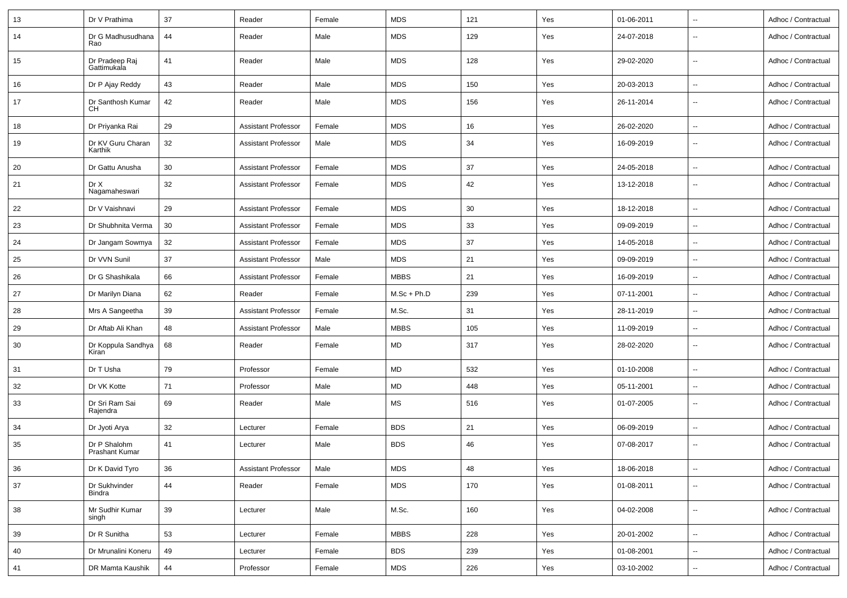| 13     | Dr V Prathima                         | 37 | Reader                     | Female | <b>MDS</b>    | 121        | Yes | 01-06-2011 | --                       | Adhoc / Contractual |
|--------|---------------------------------------|----|----------------------------|--------|---------------|------------|-----|------------|--------------------------|---------------------|
| 14     | Dr G Madhusudhana<br>Rao              | 44 | Reader                     | Male   | <b>MDS</b>    | 129        | Yes | 24-07-2018 | $\overline{\phantom{a}}$ | Adhoc / Contractual |
| 15     | Dr Pradeep Raj<br>Gattimukala         | 41 | Reader                     | Male   | <b>MDS</b>    | 128        | Yes | 29-02-2020 | $\overline{\phantom{a}}$ | Adhoc / Contractual |
| 16     | Dr P Ajay Reddy                       | 43 | Reader                     | Male   | <b>MDS</b>    | 150        | Yes | 20-03-2013 | $\sim$                   | Adhoc / Contractual |
| 17     | Dr Santhosh Kumar<br><b>CH</b>        | 42 | Reader                     | Male   | <b>MDS</b>    | 156        | Yes | 26-11-2014 | --                       | Adhoc / Contractual |
| 18     | Dr Priyanka Rai                       | 29 | <b>Assistant Professor</b> | Female | <b>MDS</b>    | 16         | Yes | 26-02-2020 | $\overline{\phantom{a}}$ | Adhoc / Contractual |
| 19     | Dr KV Guru Charan<br>Karthik          | 32 | <b>Assistant Professor</b> | Male   | <b>MDS</b>    | 34         | Yes | 16-09-2019 | --                       | Adhoc / Contractual |
| 20     | Dr Gattu Anusha                       | 30 | <b>Assistant Professor</b> | Female | <b>MDS</b>    | 37         | Yes | 24-05-2018 | $\overline{\phantom{a}}$ | Adhoc / Contractual |
| 21     | Dr X<br>Nagamaheswari                 | 32 | <b>Assistant Professor</b> | Female | <b>MDS</b>    | 42         | Yes | 13-12-2018 | $\sim$                   | Adhoc / Contractual |
| 22     | Dr V Vaishnavi                        | 29 | <b>Assistant Professor</b> | Female | <b>MDS</b>    | 30         | Yes | 18-12-2018 | $\overline{\phantom{a}}$ | Adhoc / Contractual |
| 23     | Dr Shubhnita Verma                    | 30 | <b>Assistant Professor</b> | Female | <b>MDS</b>    | 33         | Yes | 09-09-2019 | --                       | Adhoc / Contractual |
| 24     | Dr Jangam Sowmya                      | 32 | <b>Assistant Professor</b> | Female | <b>MDS</b>    | 37         | Yes | 14-05-2018 | --                       | Adhoc / Contractual |
| 25     | Dr VVN Sunil                          | 37 | <b>Assistant Professor</b> | Male   | <b>MDS</b>    | 21         | Yes | 09-09-2019 | $\overline{\phantom{a}}$ | Adhoc / Contractual |
| 26     | Dr G Shashikala                       | 66 | <b>Assistant Professor</b> | Female | <b>MBBS</b>   | 21         | Yes | 16-09-2019 | --                       | Adhoc / Contractual |
| 27     | Dr Marilyn Diana                      | 62 | Reader                     | Female | $M.Sc + Ph.D$ | 239        | Yes | 07-11-2001 | $\overline{\phantom{a}}$ | Adhoc / Contractual |
| 28     | Mrs A Sangeetha                       | 39 | <b>Assistant Professor</b> | Female | M.Sc.         | 31         | Yes | 28-11-2019 | $\sim$                   | Adhoc / Contractual |
| 29     | Dr Aftab Ali Khan                     | 48 | <b>Assistant Professor</b> | Male   | <b>MBBS</b>   | 105        | Yes | 11-09-2019 | --                       | Adhoc / Contractual |
| 30     | Dr Koppula Sandhya<br>Kiran           | 68 | Reader                     | Female | <b>MD</b>     | 317        | Yes | 28-02-2020 | $\overline{\phantom{a}}$ | Adhoc / Contractual |
| 31     | Dr T Usha                             | 79 | Professor                  | Female | <b>MD</b>     | 532        | Yes | 01-10-2008 | $\overline{\phantom{a}}$ | Adhoc / Contractual |
| 32     | Dr VK Kotte                           | 71 | Professor                  | Male   | <b>MD</b>     | 448        | Yes | 05-11-2001 | --                       | Adhoc / Contractual |
| 33     | Dr Sri Ram Sai<br>Rajendra            | 69 | Reader                     | Male   | МS            | 516        | Yes | 01-07-2005 | --                       | Adhoc / Contractual |
| 34     | Dr Jyoti Arya                         | 32 | Lecturer                   | Female | <b>BDS</b>    | 21         | Yes | 06-09-2019 | $\overline{\phantom{a}}$ | Adhoc / Contractual |
| 35     | Dr P Shalohm<br><b>Prashant Kumar</b> | 41 | Lecturer                   | Male   | <b>BDS</b>    | 46         | Yes | 07-08-2017 | --                       | Adhoc / Contractual |
| $36\,$ | Dr K David Tyro                       | 36 | Assistant Professor        | Male   | MDS           | ${\bf 48}$ | Yes | 18-06-2018 | Ξ.                       | Adhoc / Contractual |
| 37     | Dr Sukhvinder<br>Bindra               | 44 | Reader                     | Female | <b>MDS</b>    | 170        | Yes | 01-08-2011 | $\sim$                   | Adhoc / Contractual |
| 38     | Mr Sudhir Kumar<br>singh              | 39 | Lecturer                   | Male   | M.Sc.         | 160        | Yes | 04-02-2008 | $\sim$                   | Adhoc / Contractual |
| 39     | Dr R Sunitha                          | 53 | Lecturer                   | Female | <b>MBBS</b>   | 228        | Yes | 20-01-2002 | Ξ.                       | Adhoc / Contractual |
| 40     | Dr Mrunalini Koneru                   | 49 | Lecturer                   | Female | <b>BDS</b>    | 239        | Yes | 01-08-2001 | Ξ.                       | Adhoc / Contractual |
| 41     | DR Mamta Kaushik                      | 44 | Professor                  | Female | MDS           | 226        | Yes | 03-10-2002 | $\sim$                   | Adhoc / Contractual |